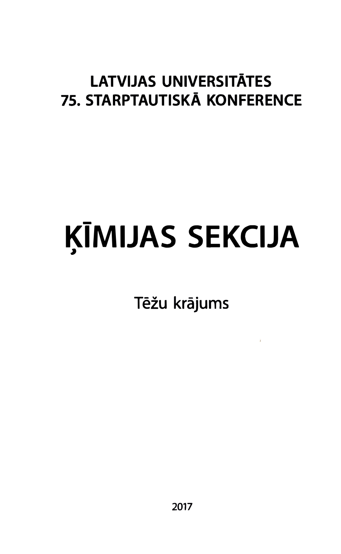# LATVIJAS UNIVERSITĀTES 75. STARPTAUTISKĀ KONFERENCE

## - KIMIJAS � SEKCIJA

Tēžu krājums